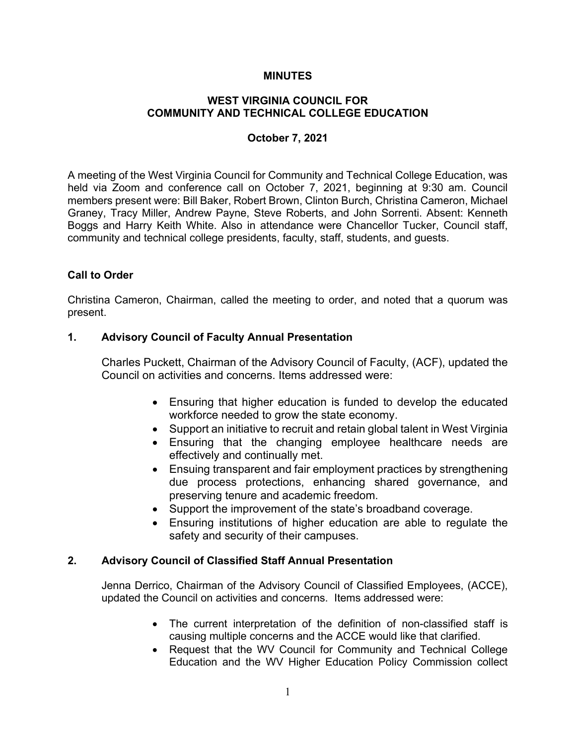### **MINUTES**

# **WEST VIRGINIA COUNCIL FOR COMMUNITY AND TECHNICAL COLLEGE EDUCATION**

### **October 7, 2021**

A meeting of the West Virginia Council for Community and Technical College Education, was held via Zoom and conference call on October 7, 2021, beginning at 9:30 am. Council members present were: Bill Baker, Robert Brown, Clinton Burch, Christina Cameron, Michael Graney, Tracy Miller, Andrew Payne, Steve Roberts, and John Sorrenti. Absent: Kenneth Boggs and Harry Keith White. Also in attendance were Chancellor Tucker, Council staff, community and technical college presidents, faculty, staff, students, and guests.

## **Call to Order**

Christina Cameron, Chairman, called the meeting to order, and noted that a quorum was present.

## **1. Advisory Council of Faculty Annual Presentation**

Charles Puckett, Chairman of the Advisory Council of Faculty, (ACF), updated the Council on activities and concerns. Items addressed were:

- Ensuring that higher education is funded to develop the educated workforce needed to grow the state economy.
- Support an initiative to recruit and retain global talent in West Virginia
- Ensuring that the changing employee healthcare needs are effectively and continually met.
- Ensuing transparent and fair employment practices by strengthening due process protections, enhancing shared governance, and preserving tenure and academic freedom.
- Support the improvement of the state's broadband coverage.
- Ensuring institutions of higher education are able to regulate the safety and security of their campuses.

## **2. Advisory Council of Classified Staff Annual Presentation**

Jenna Derrico, Chairman of the Advisory Council of Classified Employees, (ACCE), updated the Council on activities and concerns. Items addressed were:

- The current interpretation of the definition of non-classified staff is causing multiple concerns and the ACCE would like that clarified.
- Request that the WV Council for Community and Technical College Education and the WV Higher Education Policy Commission collect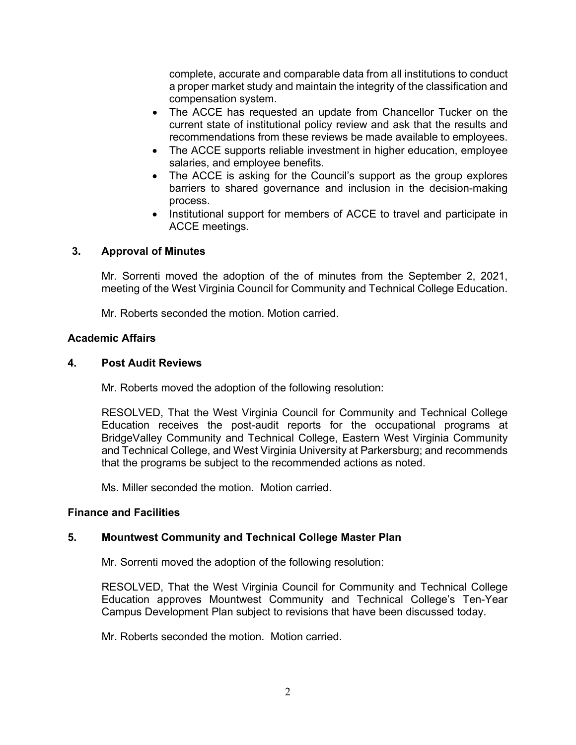complete, accurate and comparable data from all institutions to conduct a proper market study and maintain the integrity of the classification and compensation system.

- The ACCE has requested an update from Chancellor Tucker on the current state of institutional policy review and ask that the results and recommendations from these reviews be made available to employees.
- The ACCE supports reliable investment in higher education, employee salaries, and employee benefits.
- The ACCE is asking for the Council's support as the group explores barriers to shared governance and inclusion in the decision-making process.
- Institutional support for members of ACCE to travel and participate in ACCE meetings.

## **3. Approval of Minutes**

Mr. Sorrenti moved the adoption of the of minutes from the September 2, 2021, meeting of the West Virginia Council for Community and Technical College Education.

Mr. Roberts seconded the motion. Motion carried.

## **Academic Affairs**

#### **4. Post Audit Reviews**

Mr. Roberts moved the adoption of the following resolution:

RESOLVED, That the West Virginia Council for Community and Technical College Education receives the post-audit reports for the occupational programs at BridgeValley Community and Technical College, Eastern West Virginia Community and Technical College, and West Virginia University at Parkersburg; and recommends that the programs be subject to the recommended actions as noted.

Ms. Miller seconded the motion. Motion carried.

#### **Finance and Facilities**

## **5. Mountwest Community and Technical College Master Plan**

Mr. Sorrenti moved the adoption of the following resolution:

RESOLVED, That the West Virginia Council for Community and Technical College Education approves Mountwest Community and Technical College's Ten-Year Campus Development Plan subject to revisions that have been discussed today.

Mr. Roberts seconded the motion. Motion carried.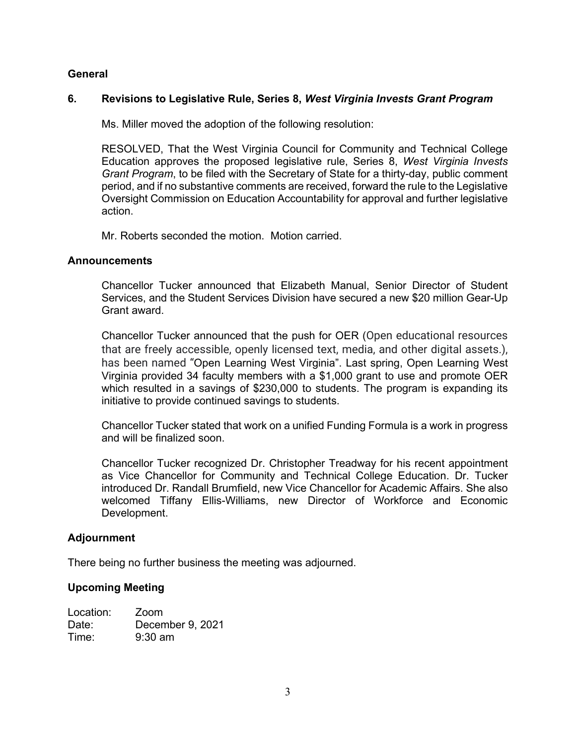## **General**

## **6. Revisions to Legislative Rule, Series 8,** *West Virginia Invests Grant Program*

Ms. Miller moved the adoption of the following resolution:

RESOLVED, That the West Virginia Council for Community and Technical College Education approves the proposed legislative rule, Series 8, *West Virginia Invests Grant Program*, to be filed with the Secretary of State for a thirty-day, public comment period, and if no substantive comments are received, forward the rule to the Legislative Oversight Commission on Education Accountability for approval and further legislative action.

Mr. Roberts seconded the motion. Motion carried.

#### **Announcements**

Chancellor Tucker announced that Elizabeth Manual, Senior Director of Student Services, and the Student Services Division have secured a new \$20 million Gear-Up Grant award.

Chancellor Tucker announced that the push for OER (Open educational resources that are freely accessible, openly licensed text, media, and other digital assets.), has been named "Open Learning West Virginia". Last spring, Open Learning West Virginia provided 34 faculty members with a \$1,000 grant to use and promote OER which resulted in a savings of \$230,000 to students. The program is expanding its initiative to provide continued savings to students.

Chancellor Tucker stated that work on a unified Funding Formula is a work in progress and will be finalized soon.

Chancellor Tucker recognized Dr. Christopher Treadway for his recent appointment as Vice Chancellor for Community and Technical College Education. Dr. Tucker introduced Dr. Randall Brumfield, new Vice Chancellor for Academic Affairs. She also welcomed Tiffany Ellis-Williams, new Director of Workforce and Economic Development.

## **Adjournment**

There being no further business the meeting was adjourned.

## **Upcoming Meeting**

| Location: | Zoom             |
|-----------|------------------|
| Date:     | December 9, 2021 |
| Time:     | $9:30$ am        |